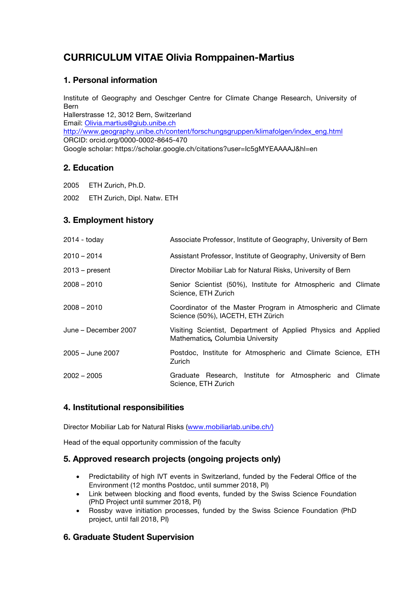# **CURRICULUM VITAE Olivia Romppainen-Martius**

## **1. Personal information**

Institute of Geography and Oeschger Centre for Climate Change Research, University of Bern Hallerstrasse 12, 3012 Bern, Switzerland Email: Olivia.martius@giub.unibe.ch http://www.geography.unibe.ch/content/forschungsgruppen/klimafolgen/index\_eng.html ORCID: orcid.org/0000-0002-8645-470 Google scholar: https://scholar.google.ch/citations?user=Ic5gMYEAAAAJ&hl=en

## **2. Education**

2005 ETH Zurich, Ph.D.

2002 ETH Zurich, Dipl. Natw. ETH

## **3. Employment history**

| $2014 -$ today       | Associate Professor, Institute of Geography, University of Bern                                   |
|----------------------|---------------------------------------------------------------------------------------------------|
| $2010 - 2014$        | Assistant Professor, Institute of Geography, University of Bern                                   |
| $2013$ – present     | Director Mobiliar Lab for Natural Risks, University of Bern                                       |
| $2008 - 2010$        | Senior Scientist (50%), Institute for Atmospheric and Climate<br>Science, ETH Zurich              |
| $2008 - 2010$        | Coordinator of the Master Program in Atmospheric and Climate<br>Science (50%), IACETH, ETH Zürich |
| June – December 2007 | Visiting Scientist, Department of Applied Physics and Applied<br>Mathematics, Columbia University |
| 2005 – June 2007     | Postdoc, Institute for Atmospheric and Climate Science, ETH<br>Zurich                             |
| $2002 - 2005$        | Graduate Research, Institute for Atmospheric and<br>Climate<br>Science, ETH Zurich                |

## **4. Institutional responsibilities**

Director Mobiliar Lab for Natural Risks (www.mobiliarlab.unibe.ch/)

Head of the equal opportunity commission of the faculty

## **5. Approved research projects (ongoing projects only)**

- Predictability of high IVT events in Switzerland, funded by the Federal Office of the Environment (12 months Postdoc, until summer 2018, PI)
- Link between blocking and flood events, funded by the Swiss Science Foundation (PhD Project until summer 2018, PI)
- Rossby wave initiation processes, funded by the Swiss Science Foundation (PhD project, until fall 2018, PI)

## **6. Graduate Student Supervision**